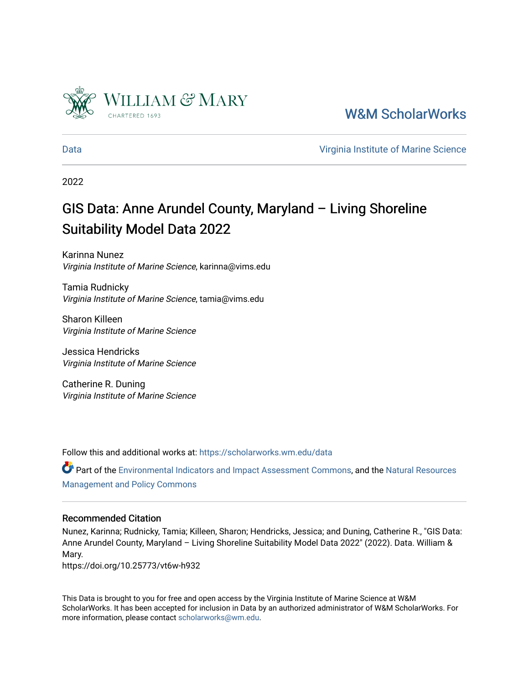

[W&M ScholarWorks](https://scholarworks.wm.edu/) 

[Data](https://scholarworks.wm.edu/data) [Virginia Institute of Marine Science](https://scholarworks.wm.edu/vims) 

2022

# GIS Data: Anne Arundel County, Maryland – Living Shoreline Suitability Model Data 2022

Karinna Nunez Virginia Institute of Marine Science, karinna@vims.edu

Tamia Rudnicky Virginia Institute of Marine Science, tamia@vims.edu

Sharon Killeen Virginia Institute of Marine Science

Jessica Hendricks Virginia Institute of Marine Science

Catherine R. Duning Virginia Institute of Marine Science

Follow this and additional works at: [https://scholarworks.wm.edu/data](https://scholarworks.wm.edu/data?utm_source=scholarworks.wm.edu%2Fdata%2F447&utm_medium=PDF&utm_campaign=PDFCoverPages) 

Part of the [Environmental Indicators and Impact Assessment Commons,](http://network.bepress.com/hgg/discipline/1015?utm_source=scholarworks.wm.edu%2Fdata%2F447&utm_medium=PDF&utm_campaign=PDFCoverPages) and the [Natural Resources](http://network.bepress.com/hgg/discipline/170?utm_source=scholarworks.wm.edu%2Fdata%2F447&utm_medium=PDF&utm_campaign=PDFCoverPages) [Management and Policy Commons](http://network.bepress.com/hgg/discipline/170?utm_source=scholarworks.wm.edu%2Fdata%2F447&utm_medium=PDF&utm_campaign=PDFCoverPages) 

## Recommended Citation

Nunez, Karinna; Rudnicky, Tamia; Killeen, Sharon; Hendricks, Jessica; and Duning, Catherine R., "GIS Data: Anne Arundel County, Maryland – Living Shoreline Suitability Model Data 2022" (2022). Data. William & Mary.

https://doi.org/10.25773/vt6w-h932

This Data is brought to you for free and open access by the Virginia Institute of Marine Science at W&M ScholarWorks. It has been accepted for inclusion in Data by an authorized administrator of W&M ScholarWorks. For more information, please contact [scholarworks@wm.edu](mailto:scholarworks@wm.edu).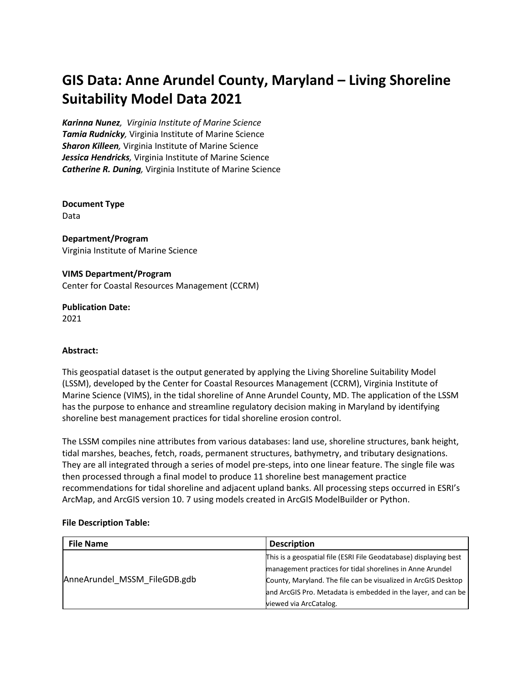## **[GIS Data: Anne Arundel County, Maryland –](https://scholarworks.wm.edu/context/data/article/1430/type/native/viewcontent) Living Shoreline Suitability [Model Data 2021](https://scholarworks.wm.edu/context/data/article/1430/type/native/viewcontent)**

*[Karinna Nunez](https://scholarworks.wm.edu/do/search/?q=author_lname%3A%22Nunez%22%20author_fname%3A%22Karinna%22&start=0&context=4347449), Virginia Institute of Marine Science Tamia Rudnicky,* [Virginia Institute of Marine Science](https://scholarworks.wm.edu/do/search/?q=author_lname%3A%22Rudnicky%22%20author_fname%3A%22Tamia%22&start=0&context=4347449) *Sharon Killeen,* [Virginia Institute of Marine Science](https://scholarworks.wm.edu/do/search/?q=author_lname%3A%22Killeen%22%20author_fname%3A%22Sharon%22&start=0&context=4347449) *Jessica Hendricks,* [Virginia Institute of Marine Science](https://scholarworks.wm.edu/do/search/?q=author_lname%3A%22Hendricks%22%20author_fname%3A%22Jessica%22&start=0&context=4347449) *Catherine R. Duning,* [Virginia Institute of Marine Science](https://scholarworks.wm.edu/do/search/?q=author_lname%3A%22Riscassi%22%20author_fname%3A%22Catherine%22&start=0&context=4347449)

**Document Type** Data

**Department/Program** Virginia Institute of Marine Science

**VIMS Department/Program** Center for Coastal Resources Management (CCRM)

**Publication Date:** 2021

## **Abstract:**

This geospatial dataset is the output generated by applying the Living Shoreline Suitability Model (LSSM), developed by the Center for Coastal Resources Management (CCRM), Virginia Institute of Marine Science (VIMS), in the tidal shoreline of Anne Arundel County, MD. The application of the LSSM has the purpose to enhance and streamline regulatory decision making in Maryland by identifying shoreline best management practices for tidal shoreline erosion control.

The LSSM compiles nine attributes from various databases: land use, shoreline structures, bank height, tidal marshes, beaches, fetch, roads, permanent structures, bathymetry, and tributary designations. They are all integrated through a series of model pre-steps, into one linear feature. The single file was then processed through a final model to produce 11 shoreline best management practice recommendations for tidal shoreline and adjacent upland banks. All processing steps occurred in ESRI's ArcMap, and ArcGIS version 10. 7 using models created in ArcGIS ModelBuilder or Python.

#### **File Description Table:**

| <b>File Name</b>             | <b>Description</b>                                                |
|------------------------------|-------------------------------------------------------------------|
| AnneArundel MSSM FileGDB.gdb | This is a geospatial file (ESRI File Geodatabase) displaying best |
|                              | management practices for tidal shorelines in Anne Arundel         |
|                              | County, Maryland. The file can be visualized in ArcGIS Desktop    |
|                              | and ArcGIS Pro. Metadata is embedded in the layer, and can be     |
|                              | viewed via ArcCatalog.                                            |